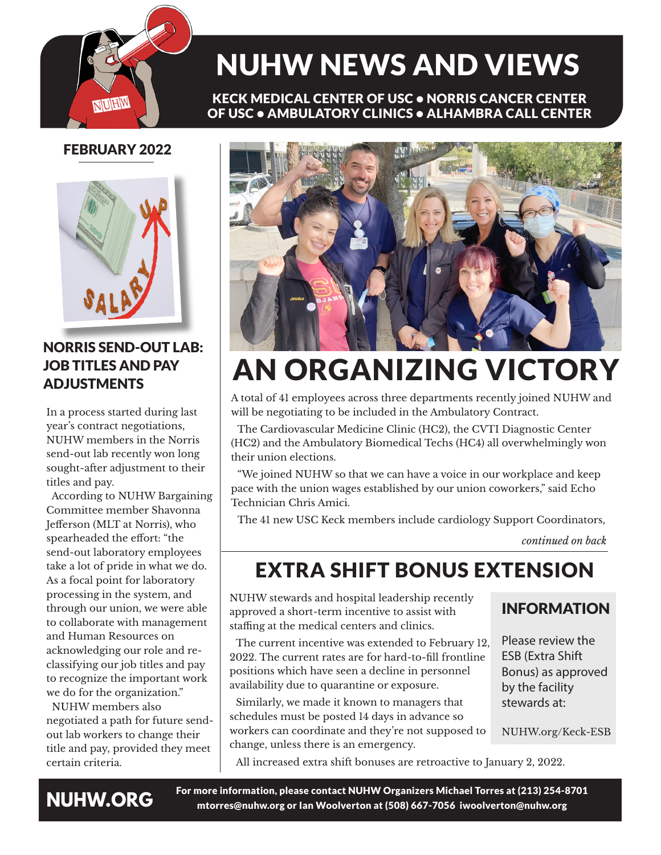

# NUHW NEWS AND VIEWS

KECK MEDICAL CENTER OF USC • NORRIS CANCER CENTER OF USC • AMBULATORY CLINICS • ALHAMBRA CALL CENTER

## FEBRUARY 2022



### NORRIS SEND-OUT LAB: JOB TITLES AND PAY ADJUSTMENTS

In a process started during last year's contract negotiations, NUHW members in the Norris send-out lab recently won long sought-after adjustment to their titles and pay.

 According to NUHW Bargaining Committee member Shavonna Jefferson (MLT at Norris), who spearheaded the effort: "the send-out laboratory employees take a lot of pride in what we do. As a focal point for laboratory processing in the system, and through our union, we were able to collaborate with management and Human Resources on acknowledging our role and reclassifying our job titles and pay to recognize the important work we do for the organization."

 NUHW members also negotiated a path for future sendout lab workers to change their title and pay, provided they meet certain criteria.



# AN ORGANIZING VICTORY

A total of 41 employees across three departments recently joined NUHW and will be negotiating to be included in the Ambulatory Contract.

The Cardiovascular Medicine Clinic (HC2), the CVTI Diagnostic Center (HC2) and the Ambulatory Biomedical Techs (HC4) all overwhelmingly won their union elections.

"We joined NUHW so that we can have a voice in our workplace and keep pace with the union wages established by our union coworkers," said Echo Technician Chris Amici.

The 41 new USC Keck members include cardiology Support Coordinators,

*continued on back*

# EXTRA SHIFT BONUS EXTENSION

NUHW stewards and hospital leadership recently approved a short-term incentive to assist with staffing at the medical centers and clinics.

The current incentive was extended to February 12, 2022. The current rates are for hard-to-fill frontline positions which have seen a decline in personnel availability due to quarantine or exposure.

Similarly, we made it known to managers that schedules must be posted 14 days in advance so workers can coordinate and they're not supposed to change, unless there is an emergency.

### INFORMATION

Please review the ESB (Extra Shift Bonus) as approved by the facility stewards at:

NUHW.org/Keck-ESB

All increased extra shift bonuses are retroactive to January 2, 2022.



For more information, please contact NUHW Organizers Michael Torres at (213) 254-8701 mtorres@nuhw.org or Ian Woolverton at (508) 667-7056 iwoolverton@nuhw.org